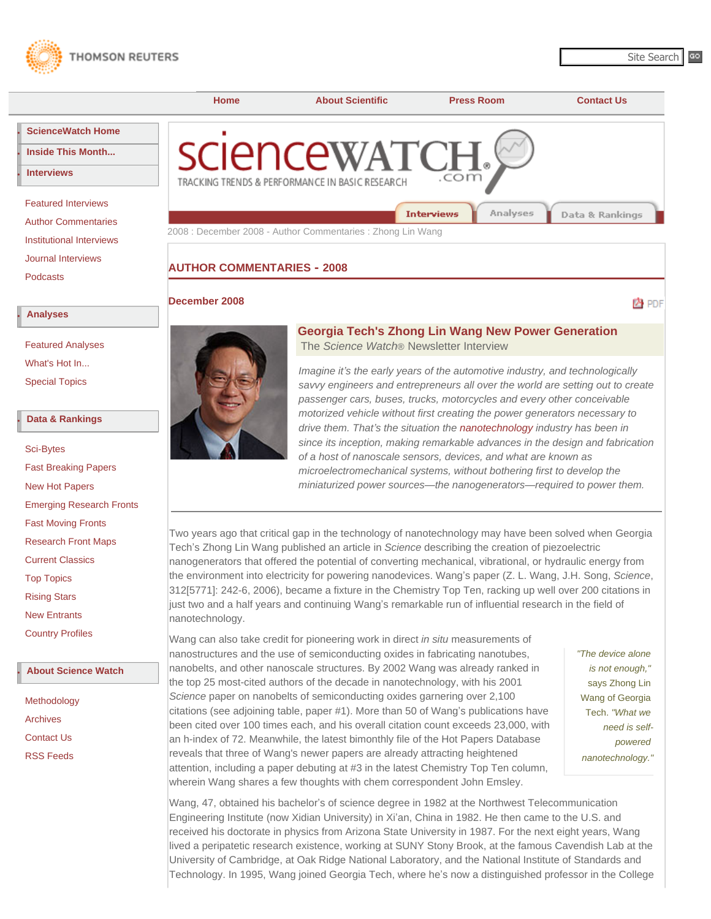<span id="page-0-0"></span>



# **[AUTHOR COMMENTARIES](http://sciencewatch.com/sciencewatch/inter/aut/) - [2008](http://sciencewatch.com/sciencewatch/inter/aut/2008/)**

#### **[December 2008](http://sciencewatch.com/sciencewatch/inter/aut/2008/08-dec/)**

内 PDF



## **Georgia Tech's Zhong Lin Wang New Power Generation**  The *Science Watch*® Newsletter Interview

*Imagine it's the early years of the automotive industry, and technologically savvy engineers and entrepreneurs all over the world are setting out to create passenger cars, buses, trucks, motorcycles and every other conceivable motorized vehicle without first creating the power generators necessary to drive them. That's the situation the [nanotechnology](http://www.esi-topics.com/nano/) industry has been in since its inception, making remarkable advances in the design and fabrication of a host of nanoscale sensors, devices, and what are known as microelectromechanical systems, without bothering first to develop the miniaturized power sources—the nanogenerators—required to power them.*

Two years ago that critical gap in the technology of nanotechnology may have been solved when Georgia Tech's Zhong Lin Wang published an article in *Science* describing the creation of piezoelectric nanogenerators that offered the potential of converting mechanical, vibrational, or hydraulic energy from the environment into electricity for powering nanodevices. Wang's paper (Z. L. Wang, J.H. Song, *Science*, 312[5771]: 242-6, 2006), became a fixture in the Chemistry Top Ten, racking up well over 200 citations in just two and a half years and continuing Wang's remarkable run of influential research in the field of nanotechnology.

Wang can also take credit for pioneering work in direct *in situ* measurements of nanostructures and the use of semiconducting oxides in fabricating nanotubes, nanobelts, and other nanoscale structures. By 2002 Wang was already ranked in the top 25 most-cited authors of the decade in nanotechnology, with his 2001 *Science* paper on nanobelts of semiconducting oxides garnering over 2,100 citations (see adjoining table, paper #1). More than 50 of Wang's publications have been cited over 100 times each, and his overall citation count exceeds 23,000, with an h-index of 72. Meanwhile, the latest bimonthly file of the Hot Papers Database reveals that three of Wang's newer papers are already attracting heightened attention, including a paper debuting at #3 in the latest Chemistry Top Ten column, wherein Wang shares a few thoughts with chem correspondent John Emsley.

*"The device alone is not enough,"* says Zhong Lin Wang of Georgia Tech. *"What we need is selfpowered nanotechnology."*

Wang, 47, obtained his bachelor's of science degree in 1982 at the Northwest Telecommunication Engineering Institute (now Xidian University) in Xi'an, China in 1982. He then came to the U.S. and received his doctorate in physics from Arizona State University in 1987. For the next eight years, Wang lived a peripatetic research existence, working at SUNY Stony Brook, at the famous Cavendish Lab at the University of Cambridge, at Oak Ridge National Laboratory, and the National Institute of Standards and Technology. In 1995, Wang joined Georgia Tech, where he's now a distinguished professor in the College

#### **● [Analyses](http://sciencewatch.com/sciencewatch/ana/)**

[Podcasts](http://sciencewatch.com/sciencewatch/inter/pod/)

**● [Interviews](http://sciencewatch.com/sciencewatch/inter/)**

[Featured Analyses](http://sciencewatch.com/sciencewatch/ana/fea/) [What's Hot In...](http://sciencewatch.com/sciencewatch/ana/hot/) [Special Topics](http://sciencewatch.com/sciencewatch/ana/st/)

#### **● [Data & Rankings](http://sciencewatch.com/sciencewatch/dr/)**

[Sci-Bytes](http://sciencewatch.com/sciencewatch/dr/sci/)

| <b>Fast Breaking Papers</b>     |
|---------------------------------|
| <b>New Hot Papers</b>           |
| <b>Emerging Research Fronts</b> |
| <b>Fast Moving Fronts</b>       |
| <b>Research Front Maps</b>      |
| <b>Current Classics</b>         |
| <b>Top Topics</b>               |
| <b>Rising Stars</b>             |
| <b>New Entrants</b>             |
| <b>Country Profiles</b>         |
|                                 |

## **● [About Science Watch](http://sciencewatch.com/sciencewatch/about/)**

[Methodology](http://sciencewatch.com/sciencewatch/about/met/) [Archives](http://sciencewatch.com/sciencewatch/about/arc/) [Contact Us](http://sciencewatch.com/sciencewatch/about/contact/) [RSS Feeds](http://sciencewatch.com/sciencewatch/rss/)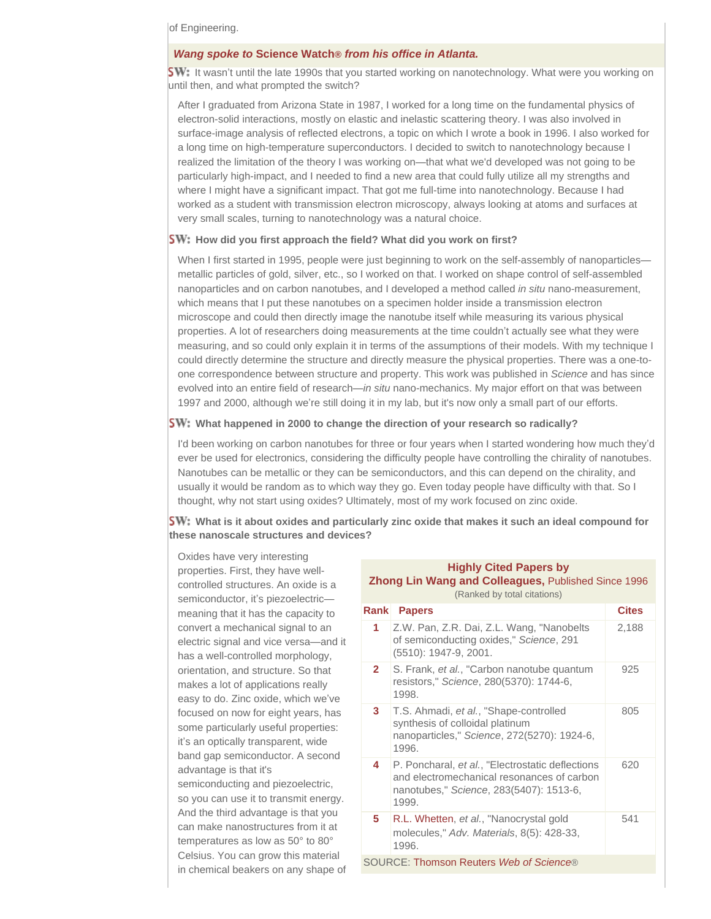of Engineering.

#### *Wang spoke to* **Science Watch®** *from his office in Atlanta.*

**SW:** It wasn't until the late 1990s that you started working on nanotechnology. What were you working on until then, and what prompted the switch?

After I graduated from Arizona State in 1987, I worked for a long time on the fundamental physics of electron-solid interactions, mostly on elastic and inelastic scattering theory. I was also involved in surface-image analysis of reflected electrons, a topic on which I wrote a book in 1996. I also worked for a long time on high-temperature superconductors. I decided to switch to nanotechnology because I realized the limitation of the theory I was working on—that what we'd developed was not going to be particularly high-impact, and I needed to find a new area that could fully utilize all my strengths and where I might have a significant impact. That got me full-time into nanotechnology. Because I had worked as a student with transmission electron microscopy, always looking at atoms and surfaces at very small scales, turning to nanotechnology was a natural choice.

#### **SW:** How did you first approach the field? What did you work on first?

When I first started in 1995, people were just beginning to work on the self-assembly of nanoparticles metallic particles of gold, silver, etc., so I worked on that. I worked on shape control of self-assembled nanoparticles and on carbon nanotubes, and I developed a method called *in situ* nano-measurement, which means that I put these nanotubes on a specimen holder inside a transmission electron microscope and could then directly image the nanotube itself while measuring its various physical properties. A lot of researchers doing measurements at the time couldn't actually see what they were measuring, and so could only explain it in terms of the assumptions of their models. With my technique I could directly determine the structure and directly measure the physical properties. There was a one-toone correspondence between structure and property. This work was published in *Science* and has since evolved into an entire field of research—*in situ* nano-mechanics. My major effort on that was between 1997 and 2000, although we're still doing it in my lab, but it's now only a small part of our efforts.

#### **SW:** What happened in 2000 to change the direction of your research so radically?

I'd been working on carbon nanotubes for three or four years when I started wondering how much they'd ever be used for electronics, considering the difficulty people have controlling the chirality of nanotubes. Nanotubes can be metallic or they can be semiconductors, and this can depend on the chirality, and usually it would be random as to which way they go. Even today people have difficulty with that. So I thought, why not start using oxides? Ultimately, most of my work focused on zinc oxide.

**SW:** What is it about oxides and particularly zinc oxide that makes it such an ideal compound for **these nanoscale structures and devices?**

Oxides have very interesting properties. First, they have wellcontrolled structures. An oxide is a semiconductor, it's piezoelectricmeaning that it has the capacity to convert a mechanical signal to an electric signal and vice versa—and it has a well-controlled morphology, orientation, and structure. So that makes a lot of applications really easy to do. Zinc oxide, which we've focused on now for eight years, has some particularly useful properties: it's an optically transparent, wide band gap semiconductor. A second advantage is that it's semiconducting and piezoelectric, so you can use it to transmit energy. And the third advantage is that you can make nanostructures from it at temperatures as low as 50° to 80° Celsius. You can grow this material in chemical beakers on any shape of

### **Highly Cited Papers by Zhong Lin Wang and Colleagues,** Published Since 1996

(Ranked by total citations)

| Rank                                    | <b>Papers</b>                                                                                                                                      | <b>Cites</b> |  |
|-----------------------------------------|----------------------------------------------------------------------------------------------------------------------------------------------------|--------------|--|
| 1                                       | Z.W. Pan, Z.R. Dai, Z.L. Wang, "Nanobelts"<br>of semiconducting oxides," Science, 291<br>(5510): 1947-9, 2001.                                     | 2,188        |  |
| $\mathbf{2}$                            | S. Frank, et al., "Carbon nanotube quantum<br>resistors," Science, 280(5370): 1744-6,<br>1998.                                                     | 925          |  |
| 3                                       | T.S. Ahmadi, et al., "Shape-controlled<br>synthesis of colloidal platinum<br>nanoparticles," Science, 272(5270): 1924-6,<br>1996.                  | 805          |  |
| 4                                       | P. Poncharal, et al., "Electrostatic deflections<br>and electromechanical resonances of carbon<br>nanotubes," Science, 283(5407): 1513-6,<br>1999. | 620          |  |
| 5                                       | R.L. Whetten, et al., "Nanocrystal gold<br>molecules," Adv. Materials, 8(5): 428-33,<br>1996.                                                      | 541          |  |
| SOURCE: Thomson Reuters Web of Science® |                                                                                                                                                    |              |  |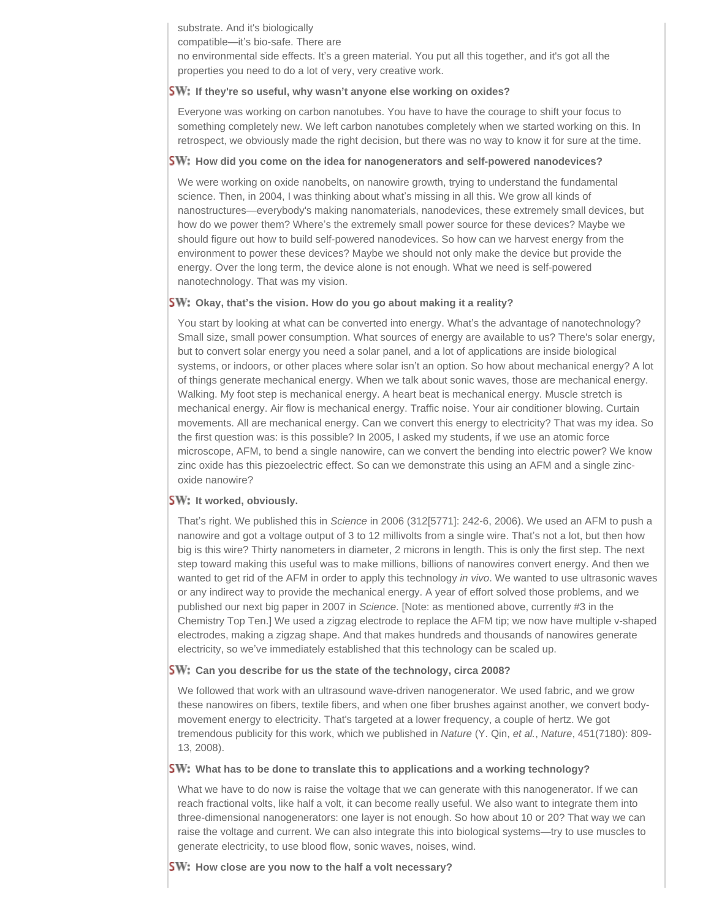substrate. And it's biologically

compatible—it's bio-safe. There are

no environmental side effects. It's a green material. You put all this together, and it's got all the properties you need to do a lot of very, very creative work.

### **If they're so useful, why wasn't anyone else working on oxides?**

Everyone was working on carbon nanotubes. You have to have the courage to shift your focus to something completely new. We left carbon nanotubes completely when we started working on this. In retrospect, we obviously made the right decision, but there was no way to know it for sure at the time.

### **SW:** How did you come on the idea for nanogenerators and self-powered nanodevices?

We were working on oxide nanobelts, on nanowire growth, trying to understand the fundamental science. Then, in 2004, I was thinking about what's missing in all this. We grow all kinds of nanostructures—everybody's making nanomaterials, nanodevices, these extremely small devices, but how do we power them? Where's the extremely small power source for these devices? Maybe we should figure out how to build self-powered nanodevices. So how can we harvest energy from the environment to power these devices? Maybe we should not only make the device but provide the energy. Over the long term, the device alone is not enough. What we need is self-powered nanotechnology. That was my vision.

### **Okay, that's the vision. How do you go about making it a reality?**

You start by looking at what can be converted into energy. What's the advantage of nanotechnology? Small size, small power consumption. What sources of energy are available to us? There's solar energy, but to convert solar energy you need a solar panel, and a lot of applications are inside biological systems, or indoors, or other places where solar isn't an option. So how about mechanical energy? A lot of things generate mechanical energy. When we talk about sonic waves, those are mechanical energy. Walking. My foot step is mechanical energy. A heart beat is mechanical energy. Muscle stretch is mechanical energy. Air flow is mechanical energy. Traffic noise. Your air conditioner blowing. Curtain movements. All are mechanical energy. Can we convert this energy to electricity? That was my idea. So the first question was: is this possible? In 2005, I asked my students, if we use an atomic force microscope, AFM, to bend a single nanowire, can we convert the bending into electric power? We know zinc oxide has this piezoelectric effect. So can we demonstrate this using an AFM and a single zincoxide nanowire?

## **SW: It worked, obviously.**

That's right. We published this in *Science* in 2006 (312[5771]: 242-6, 2006). We used an AFM to push a nanowire and got a voltage output of 3 to 12 millivolts from a single wire. That's not a lot, but then how big is this wire? Thirty nanometers in diameter, 2 microns in length. This is only the first step. The next step toward making this useful was to make millions, billions of nanowires convert energy. And then we wanted to get rid of the AFM in order to apply this technology *in vivo*. We wanted to use ultrasonic waves or any indirect way to provide the mechanical energy. A year of effort solved those problems, and we published our next big paper in 2007 in *Science*. [Note: as mentioned above, currently #3 in the Chemistry Top Ten.] We used a zigzag electrode to replace the AFM tip; we now have multiple v-shaped electrodes, making a zigzag shape. And that makes hundreds and thousands of nanowires generate electricity, so we've immediately established that this technology can be scaled up.

### **Can you describe for us the state of the technology, circa 2008?**

We followed that work with an ultrasound wave-driven nanogenerator. We used fabric, and we grow these nanowires on fibers, textile fibers, and when one fiber brushes against another, we convert bodymovement energy to electricity. That's targeted at a lower frequency, a couple of hertz. We got tremendous publicity for this work, which we published in *Nature* (Y. Qin, *et al.*, *Nature*, 451(7180): 809- 13, 2008).

### **SW:** What has to be done to translate this to applications and a working technology?

What we have to do now is raise the voltage that we can generate with this nanogenerator. If we can reach fractional volts, like half a volt, it can become really useful. We also want to integrate them into three-dimensional nanogenerators: one layer is not enough. So how about 10 or 20? That way we can raise the voltage and current. We can also integrate this into biological systems—try to use muscles to generate electricity, to use blood flow, sonic waves, noises, wind.

**SW:** How close are you now to the half a volt necessary?